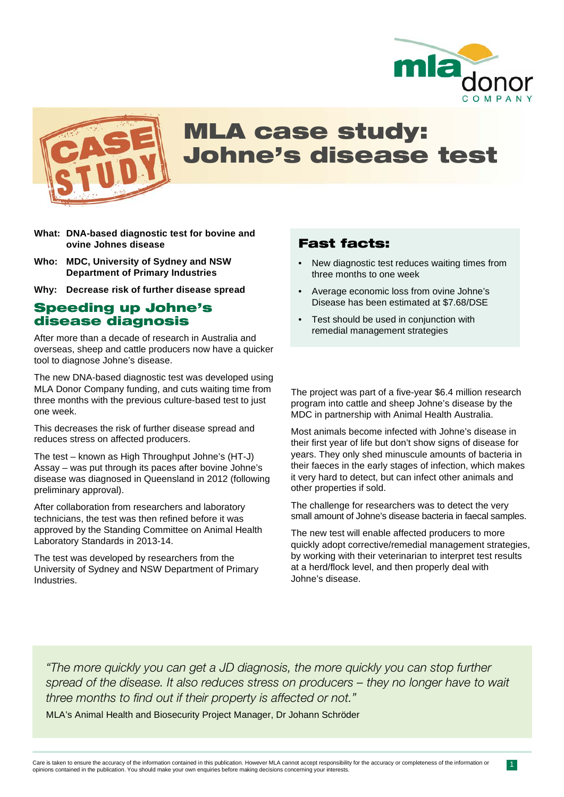



# MLA case study: Johne's disease test

- **What: DNA-based diagnostic test for bovine and ovine Johnes disease**
- **Who: MDC, University of Sydney and NSW Department of Primary Industries**

**Why: Decrease risk of further disease spread**

#### Speeding up Johne's disease diagnosis

After more than a decade of research in Australia and overseas, sheep and cattle producers now have a quicker tool to diagnose Johne's disease.

The new DNA-based diagnostic test was developed using MLA Donor Company funding, and cuts waiting time from three months with the previous culture-based test to just one week.

This decreases the risk of further disease spread and reduces stress on affected producers.

The test – known as High Throughput Johne's (HT-J) Assay – was put through its paces after bovine Johne's disease was diagnosed in Queensland in 2012 (following preliminary approval).

After collaboration from researchers and laboratory technicians, the test was then refined before it was approved by the Standing Committee on Animal Health Laboratory Standards in 2013-14.

The test was developed by researchers from the University of Sydney and NSW Department of Primary Industries.

### Fast facts:

- New diagnostic test reduces waiting times from three months to one week
- Average economic loss from ovine Johne's Disease has been estimated at \$7.68/DSE
- Test should be used in conjunction with remedial management strategies

The project was part of a five-year \$6.4 million research program into cattle and sheep Johne's disease by the MDC in partnership with Animal Health Australia.

Most animals become infected with Johne's disease in their first year of life but don't show signs of disease for years. They only shed minuscule amounts of bacteria in their faeces in the early stages of infection, which makes it very hard to detect, but can infect other animals and other properties if sold.

The challenge for researchers was to detect the very small amount of Johne's disease bacteria in faecal samples.

The new test will enable affected producers to more quickly adopt corrective/remedial management strategies, by working with their veterinarian to interpret test results at a herd/flock level, and then properly deal with Johne's disease.

*"The more quickly you can get a JD diagnosis, the more quickly you can stop further spread of the disease. It also reduces stress on producers – they no longer have to wait three months to find out if their property is affected or not."* 

MLA's Animal Health and Biosecurity Project Manager, Dr Johann Schröder